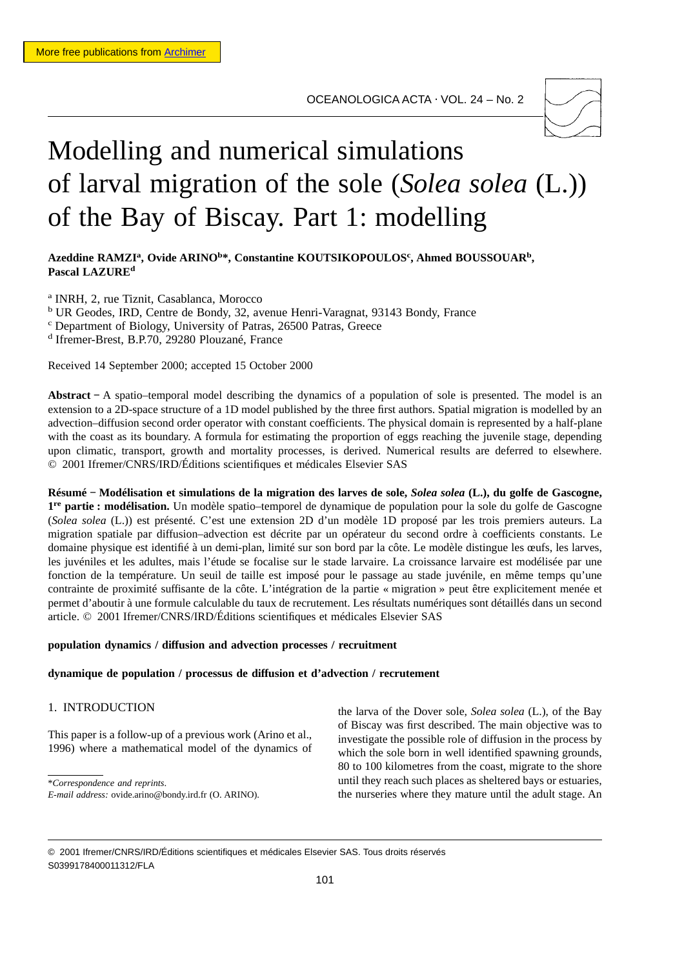OCEANOLOGICA ACTA ⋅ VOL. 24 – No. 2



# Modelling and numerical simulations of larval migration of the sole (*Solea solea* (L.)) of the Bay of Biscay. Part 1: modelling

Azeddine RAMZI<sup>a</sup>, Ovide ARINO<sup>b\*</sup>, Constantine KOUTSIKOPOULOS<sup>c</sup>, Ahmed BOUSSOUAR<sup>b</sup>, **Pascal LAZUREd**

<sup>a</sup> INRH, 2, rue Tiznit, Casablanca, Morocco <sup>b</sup> UR Geodes, IRD, Centre de Bondy, 32, avenue Henri-Varagnat, 93143 Bondy, France

<sup>c</sup> Department of Biology, University of Patras, 26500 Patras, Greece

<sup>d</sup> Ifremer-Brest, B.P.70, 29280 Plouzané, France

Received 14 September 2000; accepted 15 October 2000

**Abstract −** A spatio–temporal model describing the dynamics of a population of sole is presented. The model is an extension to a 2D-space structure of a 1D model published by the three first authors. Spatial migration is modelled by an advection–diffusion second order operator with constant coefficients. The physical domain is represented by a half-plane with the coast as its boundary. A formula for estimating the proportion of eggs reaching the juvenile stage, depending upon climatic, transport, growth and mortality processes, is derived. Numerical results are deferred to elsewhere. © 2001 Ifremer/CNRS/IRD/Éditions scientifiques et médicales Elsevier SAS

**Résumé − Modélisation et simulations de la migration des larves de sole,** *Solea solea* **(L.), du golfe de Gascogne, 1re partie : modélisation.** Un modèle spatio–temporel de dynamique de population pour la sole du golfe de Gascogne (*Solea solea* (L.)) est présenté. C'est une extension 2D d'un modèle 1D proposé par les trois premiers auteurs. La migration spatiale par diffusion–advection est décrite par un opérateur du second ordre à coefficients constants. Le domaine physique est identifié à un demi-plan, limité sur son bord par la côte. Le modèle distingue les œufs, les larves, les juvéniles et les adultes, mais l'étude se focalise sur le stade larvaire. La croissance larvaire est modélisée par une fonction de la température. Un seuil de taille est imposé pour le passage au stade juvénile, en même temps qu'une contrainte de proximité suffisante de la côte. L'intégration de la partie « migration » peut être explicitement menée et permet d'aboutir à une formule calculable du taux de recrutement. Les résultats numériques sont détaillés dans un second article. © 2001 Ifremer/CNRS/IRD/Éditions scientifiques et médicales Elsevier SAS

#### **population dynamics / diffusion and advection processes / recruitment**

# **dynamique de population / processus de diffusion et d'advection / recrutement**

# 1. INTRODUCTION

This paper is a follow-up of a previous work (Arino et al., 1996) where a mathematical model of the dynamics of

\**Correspondence and reprints*.

the larva of the Dover sole, *Solea solea* (L.), of the Bay of Biscay was first described. The main objective was to investigate the possible role of diffusion in the process by which the sole born in well identified spawning grounds, 80 to 100 kilometres from the coast, migrate to the shore until they reach such places as sheltered bays or estuaries, the nurseries where they mature until the adult stage. An

*E-mail address:* ovide.arino@bondy.ird.fr (O. ARINO).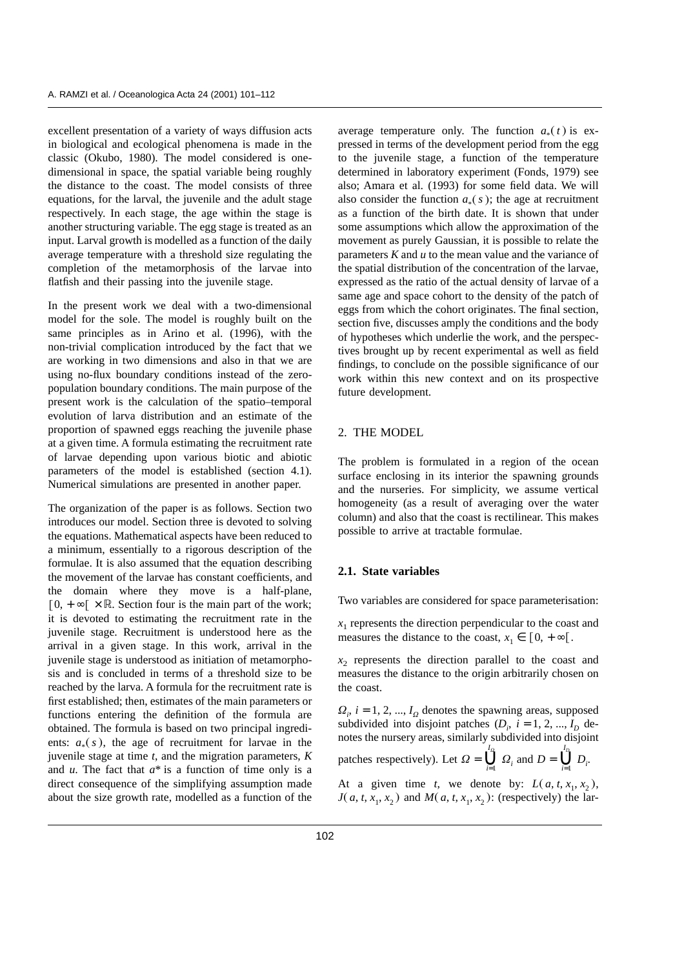excellent presentation of a variety of ways diffusion acts in biological and ecological phenomena is made in the classic (Okubo, 1980). The model considered is onedimensional in space, the spatial variable being roughly the distance to the coast. The model consists of three equations, for the larval, the juvenile and the adult stage respectively. In each stage, the age within the stage is another structuring variable. The egg stage is treated as an input. Larval growth is modelled as a function of the daily average temperature with a threshold size regulating the completion of the metamorphosis of the larvae into flatfish and their passing into the juvenile stage.

In the present work we deal with a two-dimensional model for the sole. The model is roughly built on the same principles as in Arino et al. (1996), with the non-trivial complication introduced by the fact that we are working in two dimensions and also in that we are using no-flux boundary conditions instead of the zeropopulation boundary conditions. The main purpose of the present work is the calculation of the spatio–temporal evolution of larva distribution and an estimate of the proportion of spawned eggs reaching the juvenile phase at a given time. A formula estimating the recruitment rate of larvae depending upon various biotic and abiotic parameters of the model is established (section 4.1). Numerical simulations are presented in another paper.

The organization of the paper is as follows. Section two introduces our model. Section three is devoted to solving the equations. Mathematical aspects have been reduced to a minimum, essentially to a rigorous description of the formulae. It is also assumed that the equation describing the movement of the larvae has constant coefficients, and the domain where they move is a half-plane,  $[0, +\infty[ \times \mathbb{R}$ . Section four is the main part of the work; it is devoted to estimating the recruitment rate in the juvenile stage. Recruitment is understood here as the arrival in a given stage. In this work, arrival in the juvenile stage is understood as initiation of metamorphosis and is concluded in terms of a threshold size to be reached by the larva. A formula for the recruitment rate is first established; then, estimates of the main parameters or functions entering the definition of the formula are obtained. The formula is based on two principal ingredients:  $a_*(s)$ , the age of recruitment for larvae in the juvenile stage at time *t*, and the migration parameters, *K* and *u*. The fact that *a*\* is a function of time only is a direct consequence of the simplifying assumption made about the size growth rate, modelled as a function of the

average temperature only. The function  $a_*(t)$  is expressed in terms of the development period from the egg to the juvenile stage, a function of the temperature determined in laboratory experiment (Fonds, 1979) see also; Amara et al. (1993) for some field data. We will also consider the function  $a_*(s)$ ; the age at recruitment as a function of the birth date. It is shown that under some assumptions which allow the approximation of the movement as purely Gaussian, it is possible to relate the parameters *K* and *u* to the mean value and the variance of the spatial distribution of the concentration of the larvae, expressed as the ratio of the actual density of larvae of a same age and space cohort to the density of the patch of eggs from which the cohort originates. The final section, section five, discusses amply the conditions and the body of hypotheses which underlie the work, and the perspectives brought up by recent experimental as well as field findings, to conclude on the possible significance of our work within this new context and on its prospective future development.

# 2. THE MODEL

The problem is formulated in a region of the ocean surface enclosing in its interior the spawning grounds and the nurseries. For simplicity, we assume vertical homogeneity (as a result of averaging over the water column) and also that the coast is rectilinear. This makes possible to arrive at tractable formulae.

# **2.1. State variables**

Two variables are considered for space parameterisation:

 $x<sub>1</sub>$  represents the direction perpendicular to the coast and measures the distance to the coast,  $x_1 \in [0, +\infty)$ .

 $x<sub>2</sub>$  represents the direction parallel to the coast and measures the distance to the origin arbitrarily chosen on the coast.

 $\Omega_i$ , *i* = 1, 2, ..., *I*<sub> $\Omega$ </sub> denotes the spawning areas, supposed subdivided into disjoint patches  $(D_i, i = 1, 2, ..., I_D$  denotes the nursery areas, similarly subdivided into disjoint patches respectively). Let  $\Omega = \bigcup_{i=1}^{I_{\Omega}} \Omega_i$  and  $D = \bigcup_{i=1}^{I_D} I_{\Omega_i}$ *Di* .

At a given time *t*, we denote by:  $L(a, t, x_1, x_2)$ , *J*( $a, t, x_1, x_2$ ) and *M*( $a, t, x_1, x_2$ ): (respectively) the lar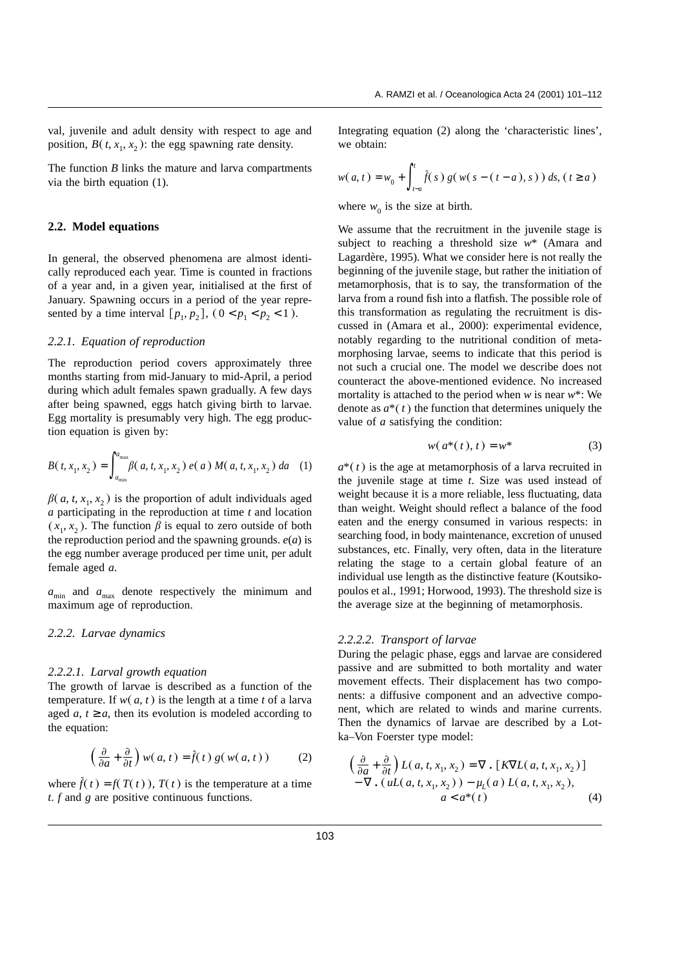val, juvenile and adult density with respect to age and position,  $B(t, x_1, x_2)$ : the egg spawning rate density.

The function *B* links the mature and larva compartments via the birth equation (1).

#### **2.2. Model equations**

In general, the observed phenomena are almost identically reproduced each year. Time is counted in fractions of a year and, in a given year, initialised at the first of January. Spawning occurs in a period of the year represented by a time interval  $[p_1, p_2]$ ,  $(0 < p_1 < p_2 < 1)$ .

# *2.2.1. Equation of reproduction*

The reproduction period covers approximately three months starting from mid-January to mid-April, a period during which adult females spawn gradually. A few days after being spawned, eggs hatch giving birth to larvae. Egg mortality is presumably very high. The egg production equation is given by:

$$
B(t, x_1, x_2) = \int_{a_{\min}}^{a_{\max}} \beta(a, t, x_1, x_2) e(a) M(a, t, x_1, x_2) da
$$
 (1)

 $\beta$ (*a*, *t*, *x*<sub>1</sub>, *x*<sub>2</sub>) is the proportion of adult individuals aged *a* participating in the reproduction at time *t* and location  $(x_1, x_2)$ . The function  $\beta$  is equal to zero outside of both the reproduction period and the spawning grounds. *e*(*a*) is the egg number average produced per time unit, per adult female aged *a*.

 $a_{\text{min}}$  and  $a_{\text{max}}$  denote respectively the minimum and maximum age of reproduction.

#### *2.2.2. Larvae dynamics*

#### *2.2.2.1. Larval growth equation*

The growth of larvae is described as a function of the temperature. If  $w(a, t)$  is the length at a time *t* of a larva aged  $a, t \ge a$ , then its evolution is modeled according to the equation:

$$
\left(\frac{\partial}{\partial a} + \frac{\partial}{\partial t}\right) w(a, t) = \tilde{f}(t) g(w(a, t)) \tag{2}
$$

where  $\tilde{f}(t) = f(T(t))$ ,  $T(t)$  is the temperature at a time *t*. *f* and *g* are positive continuous functions.

Integrating equation (2) along the 'characteristic lines', we obtain:

$$
w(a,t) = w_0 + \int_{t-a}^{t} \tilde{f}(s) g(w(s-(t-a),s)) ds, (t \ge a)
$$

where  $w_0$  is the size at birth.

We assume that the recruitment in the juvenile stage is subject to reaching a threshold size *w*\* (Amara and Lagardère, 1995). What we consider here is not really the beginning of the juvenile stage, but rather the initiation of metamorphosis, that is to say, the transformation of the larva from a round fish into a flatfish. The possible role of this transformation as regulating the recruitment is discussed in (Amara et al., 2000): experimental evidence, notably regarding to the nutritional condition of metamorphosing larvae, seems to indicate that this period is not such a crucial one. The model we describe does not counteract the above-mentioned evidence. No increased mortality is attached to the period when *w* is near *w*\*: We denote as  $a^*(t)$  the function that determines uniquely the value of *a* satisfying the condition:

$$
w(a^*(t),t) = w^*
$$
 (3)

 $a^*(t)$  is the age at metamorphosis of a larva recruited in the juvenile stage at time *t*. Size was used instead of weight because it is a more reliable, less fluctuating, data than weight. Weight should reflect a balance of the food eaten and the energy consumed in various respects: in searching food, in body maintenance, excretion of unused substances, etc. Finally, very often, data in the literature relating the stage to a certain global feature of an individual use length as the distinctive feature (Koutsikopoulos et al., 1991; Horwood, 1993). The threshold size is the average size at the beginning of metamorphosis.

#### *2.2.2.2. Transport of larvae*

During the pelagic phase, eggs and larvae are considered passive and are submitted to both mortality and water movement effects. Their displacement has two components: a diffusive component and an advective component, which are related to winds and marine currents. Then the dynamics of larvae are described by a Lotka–Von Foerster type model:

$$
\left(\frac{\partial}{\partial a} + \frac{\partial}{\partial t}\right) L(a, t, x_1, x_2) = \nabla \cdot \left[K\nabla L(a, t, x_1, x_2)\right] \n- \nabla \cdot (uL(a, t, x_1, x_2)) - \mu_L(a) L(a, t, x_1, x_2), \na < a^*(t)
$$
\n(4)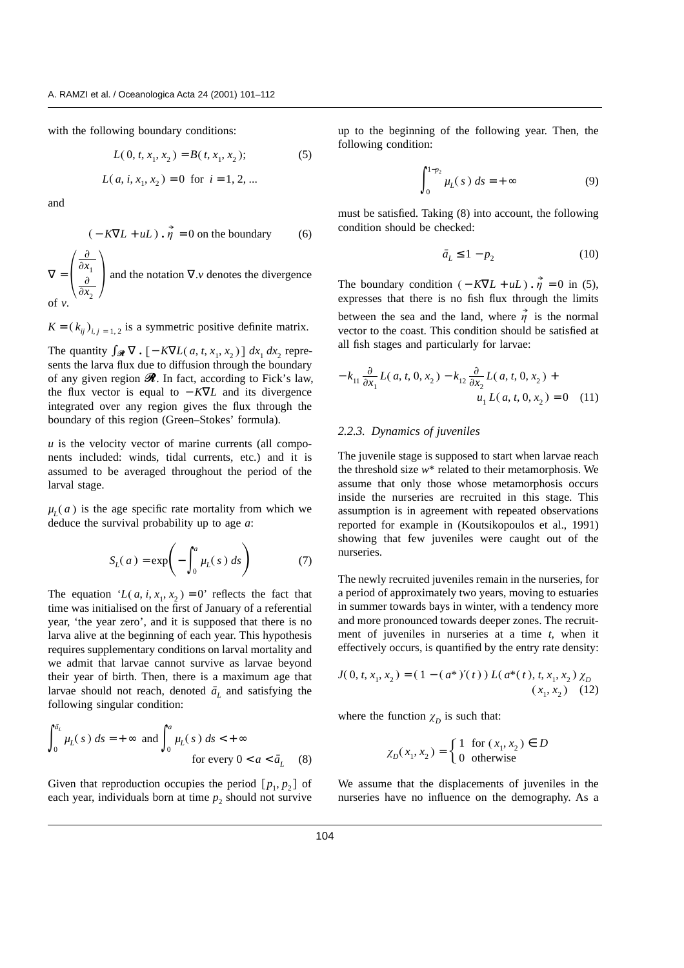with the following boundary conditions:

$$
L(0, t, x_1, x_2) = B(t, x_1, x_2);
$$
 (5)  

$$
L(a, i, x_1, x_2) = 0 \text{ for } i = 1, 2, ...
$$

and

$$
(-K\nabla L + uL) \cdot \vec{\eta} = 0
$$
 on the boundary (6)

 $\nabla = \Bigg($  $\partial$  $\partial x_1$  $\partial$  $\frac{\partial x_1}{\partial x_2}$  and the notation  $\nabla \cdot v$  denotes the divergence of *v*.

 $K = (k_{ij})_{i,j=1,2}$  is a symmetric positive definite matrix.

The quantity  $\int_{\mathcal{R}} \nabla \cdot [-K\nabla L(a, t, x_1, x_2)] dx_1 dx_2$  represents the larva flux due to diffusion through the boundary of any given region  $\mathcal{R}$ . In fact, according to Fick's law, the flux vector is equal to  $-K\nabla L$  and its divergence integrated over any region gives the flux through the boundary of this region (Green–Stokes' formula).

 *is the velocity vector of marine currents (all compo*nents included: winds, tidal currents, etc.) and it is assumed to be averaged throughout the period of the larval stage.

 $\mu_L(a)$  is the age specific rate mortality from which we deduce the survival probability up to age *a*:

$$
S_L(a) = \exp\left(-\int_0^a \mu_L(s) \, ds\right) \tag{7}
$$

The equation ' $L(a, i, x_1, x_2) = 0$ ' reflects the fact that time was initialised on the first of January of a referential year, 'the year zero', and it is supposed that there is no larva alive at the beginning of each year. This hypothesis requires supplementary conditions on larval mortality and we admit that larvae cannot survive as larvae beyond their year of birth. Then, there is a maximum age that larvae should not reach, denoted  $\bar{a}_L$  and satisfying the following singular condition:

$$
\int_0^{\bar{a}_L} \mu_L(s) \, ds = +\infty \text{ and } \int_0^a \mu_L(s) \, ds < +\infty
$$
\nfor every  $0 < a < \bar{a}_L$ 

\n(8)

Given that reproduction occupies the period  $[p_1, p_2]$  of each year, individuals born at time  $p_2$  should not survive up to the beginning of the following year. Then, the following condition:

$$
\int_0^{1-p_2} \mu_L(s) \, ds = +\infty \tag{9}
$$

must be satisfied. Taking (8) into account, the following condition should be checked:

$$
\bar{a}_L \le 1 - p_2 \tag{10}
$$

The boundary condition  $(-K\nabla L + uL) \cdot \vec{\eta} = 0$  in (5), expresses that there is no fish flux through the limits between the sea and the land, where  $\overrightarrow{\eta}$  is the normal vector to the coast. This condition should be satisfied at all fish stages and particularly for larvae:

$$
- k_{11} \frac{\partial}{\partial x_1} L(a, t, 0, x_2) - k_{12} \frac{\partial}{\partial x_2} L(a, t, 0, x_2) + u_1 L(a, t, 0, x_2) = 0 \quad (11)
$$

#### *2.2.3. Dynamics of juveniles*

The juvenile stage is supposed to start when larvae reach the threshold size *w*\* related to their metamorphosis. We assume that only those whose metamorphosis occurs inside the nurseries are recruited in this stage. This assumption is in agreement with repeated observations reported for example in (Koutsikopoulos et al., 1991) showing that few juveniles were caught out of the nurseries.

The newly recruited juveniles remain in the nurseries, for a period of approximately two years, moving to estuaries in summer towards bays in winter, with a tendency more and more pronounced towards deeper zones. The recruitment of juveniles in nurseries at a time *t*, when it effectively occurs, is quantified by the entry rate density:

$$
J(0, t, x_1, x_2) = (1 - (a^*)'(t)) L(a^*(t), t, x_1, x_2) \chi_D
$$
  
(x\_1, x\_2) (12)

where the function  $\chi_D$  is such that:

$$
\chi_D(x_1, x_2) = \begin{cases} 1 & \text{for } (x_1, x_2) \in D \\ 0 & \text{otherwise} \end{cases}
$$

We assume that the displacements of juveniles in the nurseries have no influence on the demography. As a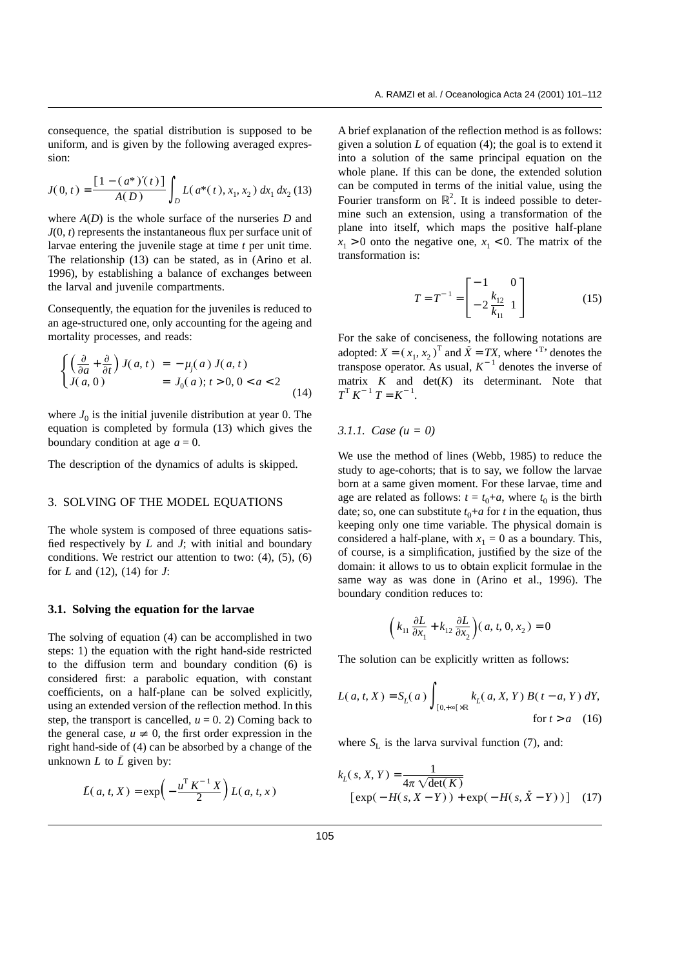consequence, the spatial distribution is supposed to be uniform, and is given by the following averaged expression:

$$
J(0, t) = \frac{\left[1 - \left(a^*\right)'(t)\right]}{A(D)} \int_D L(a^*(t), x_1, x_2) \, dx_1 \, dx_2 \, (13)
$$

where *A*(*D*) is the whole surface of the nurseries *D* and *J*(0, *t*) represents the instantaneous flux per surface unit of larvae entering the juvenile stage at time *t* per unit time. The relationship (13) can be stated, as in (Arino et al. 1996), by establishing a balance of exchanges between the larval and juvenile compartments.

Consequently, the equation for the juveniles is reduced to an age-structured one, only accounting for the ageing and mortality processes, and reads:

$$
\begin{cases}\n\left(\frac{\partial}{\partial a} + \frac{\partial}{\partial t}\right) J(a, t) = -\mu_j(a) J(a, t) \\
J(a, 0) = J_0(a); t > 0, 0 < a < 2\n\end{cases}
$$
\n(14)

where  $J_0$  is the initial juvenile distribution at year 0. The equation is completed by formula (13) which gives the boundary condition at age  $a = 0$ .

The description of the dynamics of adults is skipped.

# 3. SOLVING OF THE MODEL EQUATIONS

The whole system is composed of three equations satisfied respectively by *L* and *J*; with initial and boundary conditions. We restrict our attention to two: (4), (5), (6) for *L* and (12), (14) for *J*:

#### **3.1. Solving the equation for the larvae**

The solving of equation (4) can be accomplished in two steps: 1) the equation with the right hand-side restricted to the diffusion term and boundary condition (6) is considered first: a parabolic equation, with constant coefficients, on a half-plane can be solved explicitly, using an extended version of the reflection method. In this step, the transport is cancelled,  $u = 0$ . 2) Coming back to the general case,  $u \neq 0$ , the first order expression in the right hand-side of (4) can be absorbed by a change of the unknown *L* to  $\overline{L}$  given by:

$$
\bar{L}(a, t, X) = \exp\left(-\frac{u^{\mathrm{T}} K^{-1} X}{2}\right) L(a, t, x)
$$

A brief explanation of the reflection method is as follows: given a solution *L* of equation (4); the goal is to extend it into a solution of the same principal equation on the whole plane. If this can be done, the extended solution can be computed in terms of the initial value, using the Fourier transform on  $\mathbb{R}^2$ . It is indeed possible to determine such an extension, using a transformation of the plane into itself, which maps the positive half-plane  $x_1 > 0$  onto the negative one,  $x_1 < 0$ . The matrix of the transformation is:

$$
T = T^{-1} = \begin{bmatrix} -1 & 0 \\ -2\frac{k_{12}}{k_{11}} & 1 \end{bmatrix}
$$
 (15)

For the sake of conciseness, the following notations are adopted:  $X = (x_1, x_2)^T$  and  $\tilde{X} = TX$ , where  $T$  denotes the transpose operator. As usual,  $K^{-1}$  denotes the inverse of matrix  $K$  and  $det(K)$  its determinant. Note that  $T^{\mathrm{T}} K^{-1} T = K^{-1}$ .

#### *3.1.1. Case (u = 0)*

We use the method of lines (Webb, 1985) to reduce the study to age-cohorts; that is to say, we follow the larvae born at a same given moment. For these larvae, time and age are related as follows:  $t = t_0 + a$ , where  $t_0$  is the birth date; so, one can substitute  $t_0 + a$  for *t* in the equation, thus keeping only one time variable. The physical domain is considered a half-plane, with  $x_1 = 0$  as a boundary. This, of course, is a simplification, justified by the size of the domain: it allows to us to obtain explicit formulae in the same way as was done in (Arino et al., 1996). The boundary condition reduces to:

$$
\left(k_{11} \frac{\partial L}{\partial x_1} + k_{12} \frac{\partial L}{\partial x_2}\right)(a, t, 0, x_2) = 0
$$

The solution can be explicitly written as follows:

$$
L(a, t, X) = S_L(a) \int_{[0, +\infty[ \times \mathbb{R}]} k_L(a, X, Y) B(t - a, Y) dY,
$$
  
for  $t > a$  (16)

where  $S_L$  is the larva survival function (7), and:

$$
k_L(s, X, Y) = \frac{1}{4\pi \sqrt{\det(K)}}\n[\exp(-H(s, X - Y)) + \exp(-H(s, \tilde{X} - Y))]
$$
(17)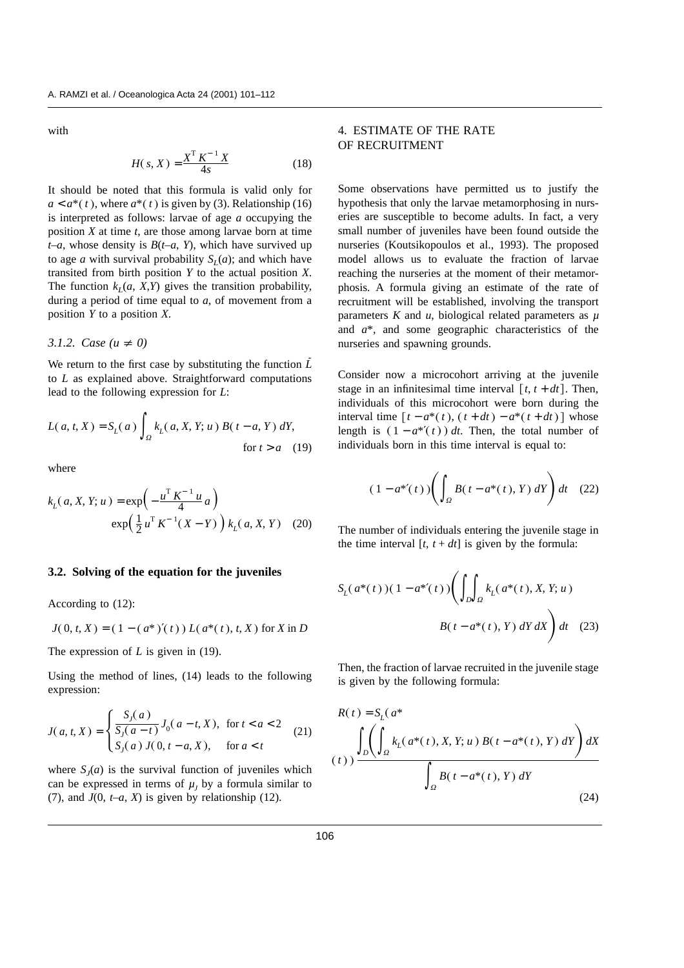with

$$
H(s, X) = \frac{X^{T} K^{-1} X}{4s}
$$
 (18)

It should be noted that this formula is valid only for  $a < a^*(t)$ , where  $a^*(t)$  is given by (3). Relationship (16) is interpreted as follows: larvae of age *a* occupying the position *X* at time *t*, are those among larvae born at time *t–a*, whose density is *B*(*t–a*, *Y*), which have survived up to age *a* with survival probability  $S_l(a)$ ; and which have transited from birth position *Y* to the actual position *X*. The function  $k_l(a, X, Y)$  gives the transition probability, during a period of time equal to *a*, of movement from a position *Y* to a position *X*.

3.1.2. Case 
$$
(u \neq 0)
$$

We return to the first case by substituting the function *L* to *L* as explained above. Straightforward computations lead to the following expression for *L*:

$$
L(a, t, X) = S_L(a) \int_{\Omega} k_L(a, X, Y; u) B(t - a, Y) dY,
$$
  
for  $t > a$  (19)

where

$$
k_L(a, X, Y; u) = \exp\left(-\frac{u^T K^{-1} u}{4} a\right)
$$
  
 
$$
\exp\left(\frac{1}{2} u^T K^{-1} (X - Y)\right) k_L(a, X, Y) \quad (20)
$$

#### **3.2. Solving of the equation for the juveniles**

According to (12):

$$
J(0, t, X) = (1 - (a^*)'(t)) L(a^*(t), t, X) \text{ for } X \text{ in } D
$$

The expression of *L* is given in (19).

Using the method of lines, (14) leads to the following expression:

$$
J(a, t, X) = \begin{cases} \frac{S_j(a)}{S_j(a-t)} J_0(a-t, X), & \text{for } t < a < 2\\ S_j(a) J(0, t-a, X), & \text{for } a < t \end{cases}
$$
 (21)

where  $S<sub>i</sub>(a)$  is the survival function of juveniles which can be expressed in terms of  $\mu$ <sub>I</sub> by a formula similar to (7), and  $J(0, t-a, X)$  is given by relationship (12).

# 4. ESTIMATE OF THE RATE OF RECRUITMENT

Some observations have permitted us to justify the hypothesis that only the larvae metamorphosing in nurseries are susceptible to become adults. In fact, a very small number of juveniles have been found outside the nurseries (Koutsikopoulos et al., 1993). The proposed model allows us to evaluate the fraction of larvae reaching the nurseries at the moment of their metamorphosis. A formula giving an estimate of the rate of recruitment will be established, involving the transport parameters  $K$  and  $u$ , biological related parameters as  $\mu$ and *a*\*, and some geographic characteristics of the nurseries and spawning grounds.

Consider now a microcohort arriving at the juvenile stage in an infinitesimal time interval  $[t, t + dt]$ . Then, individuals of this microcohort were born during the  $\text{interval time } [t - a^*(t), (t + dt) - a^*(t + dt)]$  whose length is  $(1 - a^{*'}(t)) dt$ . Then, the total number of individuals born in this time interval is equal to:

$$
(1 - a^{*'}(t)) \left( \int_{\Omega} B(t - a^{*}(t), Y) \, dY \right) dt \quad (22)
$$

The number of individuals entering the juvenile stage in the time interval  $[t, t + dt]$  is given by the formula:

$$
S_L(a^*(t))(1 - a^{*'}(t)) \left( \int_D \int_{\Omega} k_L(a^*(t), X, Y; u) \right)
$$

$$
B(t - a^*(t), Y) dY dX \right) dt \quad (23)
$$

Then, the fraction of larvae recruited in the juvenile stage is given by the following formula:

$$
R(t) = S_L(a^*)
$$
\n
$$
(t) \int_D \left( \int_{\Omega} k_L(a^*(t), X, Y; u) B(t - a^*(t), Y) dY \right) dX
$$
\n
$$
\int_{\Omega} B(t - a^*(t), Y) dY
$$
\n(24)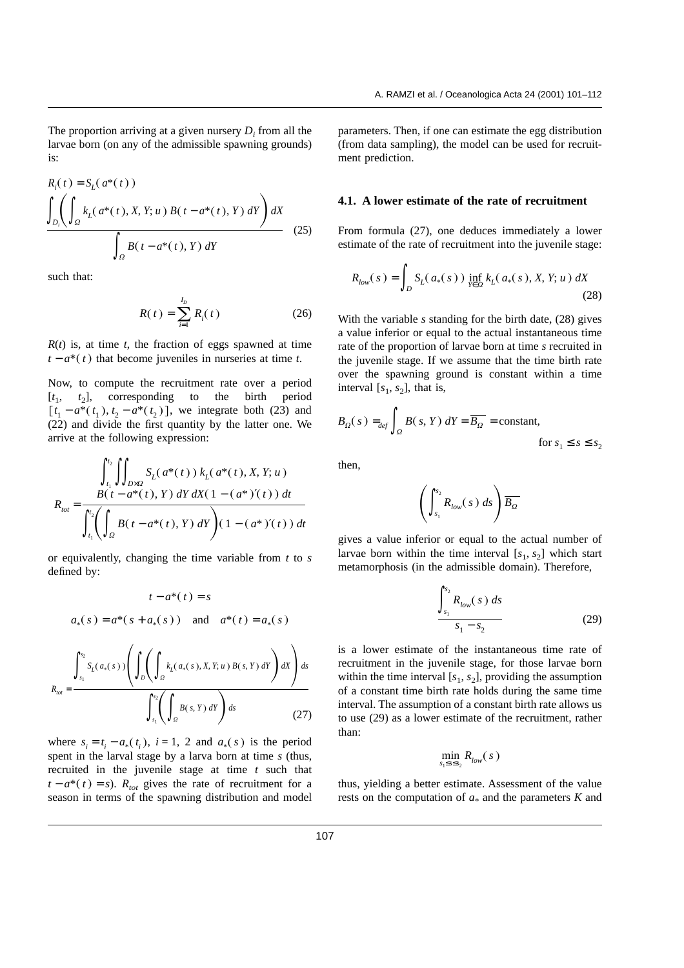The proportion arriving at a given nursery *D<sub>i</sub>* from all the larvae born (on any of the admissible spawning grounds) is:

$$
R_{i}(t) = S_{L}(a^{*}(t))
$$
\n
$$
\int_{D_{i}} \left( \int_{\Omega} k_{L}(a^{*}(t), X, Y; u) B(t - a^{*}(t), Y) dY \right) dX
$$
\n
$$
\int_{\Omega} B(t - a^{*}(t), Y) dY
$$
\n(25)

such that:

$$
R(t) = \sum_{i=1}^{I_D} R_i(t)
$$
 (26)

 $R(t)$  is, at time *t*, the fraction of eggs spawned at time  $t - a^*(t)$  that become juveniles in nurseries at time *t*.

Now, to compute the recruitment rate over a period  $[t_1, t_2]$ , corresponding to the birth period  $[t_1 - a^*(t_1), t_2 - a^*(t_2)]$ , we integrate both (23) and (22) and divide the first quantity by the latter one. We arrive at the following expression:

*Rtot* = *t*1 *t*2 *<sup>D</sup>*×*<sup>X</sup> SL a*\**t kL a*\**t*, *X*, *Y*; *u Bt* − *a*\**t*, *Y dY dX*- 1 − *a*\* ′*t dt t*1 *t*2 *X Bt* − *a*\**<sup>t</sup>*, *<sup>Y</sup> dY*- 1 − *a*\* ′*t dt*

or equivalently, changing the time variable from *t* to *s* defined by:

$$
t - a^{*}(t) = s
$$
  
\n
$$
a_{*}(s) = a^{*}(s + a_{*}(s)) \text{ and } a^{*}(t) = a_{*}(s)
$$
  
\n
$$
\int_{s_{1}}^{s_{2}} S_{L}(a_{*}(s)) \left( \int_{D} \left( \int_{\Omega} k_{L}(a_{*}(s), X, Y; u) B(s, Y) dY \right) dX \right) ds
$$
  
\n
$$
R_{tot} = \frac{\int_{s_{1}}^{s_{2}} \left( \int_{\Omega} B(s, Y) dY \right) ds}{\int_{s_{1}}^{s_{2}} \left( \int_{\Omega} B(s, Y) dY \right) ds}
$$
(27)

where  $s_i = t_i - a_*(t_i)$ ,  $i = 1, 2$  and  $a_*(s)$  is the period spent in the larval stage by a larva born at time *s* (thus, recruited in the juvenile stage at time *t* such that  $t - a^*(t) = s$ ). *R<sub>tot</sub>* gives the rate of recruitment for a season in terms of the spawning distribution and model parameters. Then, if one can estimate the egg distribution (from data sampling), the model can be used for recruitment prediction.

#### **4.1. A lower estimate of the rate of recruitment**

From formula (27), one deduces immediately a lower estimate of the rate of recruitment into the juvenile stage:

$$
R_{low}(s) = \int_{D} S_{L}(a_{*}(s)) \inf_{Y \in \Omega} k_{L}(a_{*}(s), X, Y; u) dX
$$
\n(28)

With the variable *s* standing for the birth date, (28) gives a value inferior or equal to the actual instantaneous time rate of the proportion of larvae born at time *s* recruited in the juvenile stage. If we assume that the time birth rate over the spawning ground is constant within a time interval  $[s_1, s_2]$ , that is,

$$
B_{\Omega}(s) =_{def} \int_{\Omega} B(s, Y) dY = \overline{B_{\Omega}} = \text{constant},
$$
  
for  $s_1 \le s \le s_2$ 

then,

$$
\left(\int_{s_1}^{s_2} R_{low}(s) \, ds\right) \overline{B_{\Omega}}
$$

gives a value inferior or equal to the actual number of larvae born within the time interval  $[s_1, s_2]$  which start metamorphosis (in the admissible domain). Therefore,

$$
\frac{\int_{s_1}^{s_2} R_{low}(s) \, ds}{s_1 - s_2} \tag{29}
$$

is a lower estimate of the instantaneous time rate of recruitment in the juvenile stage, for those larvae born within the time interval  $[s_1, s_2]$ , providing the assumption of a constant time birth rate holds during the same time interval. The assumption of a constant birth rate allows us to use (29) as a lower estimate of the recruitment, rather than:

$$
\min_{s_1\leq s\leq s_2} R_{low}(\sqrt{s}\,)
$$

thus, yielding a better estimate. Assessment of the value rests on the computation of  $a_*$  and the parameters  $K$  and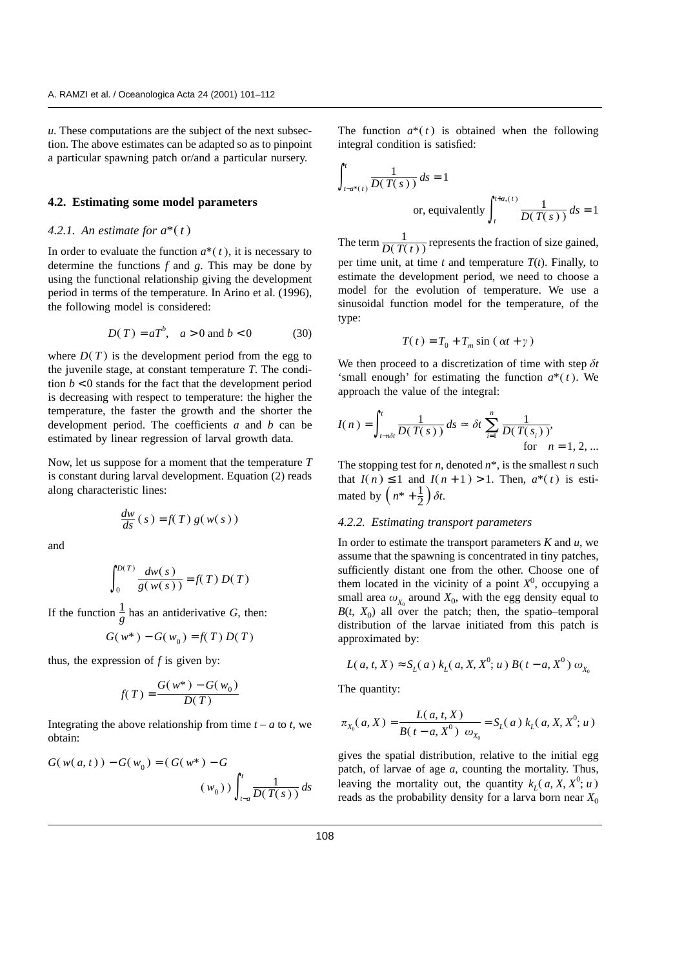*u*. These computations are the subject of the next subsection. The above estimates can be adapted so as to pinpoint a particular spawning patch or/and a particular nursery.

#### **4.2. Estimating some model parameters**

# 4.2.1. An estimate for  $a^*(t)$

In order to evaluate the function  $a^*(t)$ , it is necessary to determine the functions *f* and *g*. This may be done by using the functional relationship giving the development period in terms of the temperature. In Arino et al. (1996), the following model is considered:

$$
D(T) = aT^{b}, \quad a > 0 \text{ and } b < 0 \tag{30}
$$

where  $D(T)$  is the development period from the egg to the juvenile stage, at constant temperature *T*. The condition  $b < 0$  stands for the fact that the development period is decreasing with respect to temperature: the higher the temperature, the faster the growth and the shorter the development period. The coefficients *a* and *b* can be estimated by linear regression of larval growth data.

Now, let us suppose for a moment that the temperature *T* is constant during larval development. Equation (2) reads along characteristic lines:

$$
\frac{dw}{ds}(s) = f(T) g(w(s))
$$

and

$$
\int_0^{D(T)} \frac{dw(s)}{g(w(s))} = f(T) D(T)
$$

If the function  $\frac{1}{g}$  has an antiderivative *G*, then:

$$
G(w^*) - G(w_0) = f(T) D(T)
$$

thus, the expression of  $f$  is given by:

$$
f(T) = \frac{G(w^*) - G(w_0)}{D(T)}
$$

Integrating the above relationship from time  $t - a$  to  $t$ , we obtain:

$$
G(w(a, t)) - G(w_0) = (G(w^*) - G
$$
  

$$
(w_0)) \int_{t-a}^{t} \frac{1}{D(T(s))} ds
$$

The function  $a^*(t)$  is obtained when the following integral condition is satisfied:

$$
\int_{t-a^*(t)}^t \frac{1}{D(T(s))} ds = 1
$$
  
or, equivalently 
$$
\int_{t}^{t+a_*(t)} \frac{1}{D(T(s))} ds = 1
$$

The term  $\frac{1}{D(T(t))}$  represents the fraction of size gained, per time unit, at time  $t$  and temperature  $T(t)$ . Finally, to estimate the development period, we need to choose a model for the evolution of temperature. We use a sinusoidal function model for the temperature, of the type:

$$
T(t) = T_0 + T_m \sin(\alpha t + \gamma)
$$

We then proceed to a discretization of time with step *dt* 'small enough' for estimating the function  $a^*(t)$ . We approach the value of the integral:

$$
I(n) = \int_{t-n\delta t}^{t} \frac{1}{D(T(s))} ds \approx \delta t \sum_{i=1}^{n} \frac{1}{D(T(s_i))},
$$
for  $n = 1, 2, ...$ 

The stopping test for *n*, denoted *n*\*, is the smallest *n* such that  $I(n) \leq 1$  and  $I(n + 1) > 1$ . Then,  $a^*(t)$  is estimated by  $\left(n^* + \frac{1}{2}\right)\delta t$ .

# *4.2.2. Estimating transport parameters*

In order to estimate the transport parameters *K* and *u*, we assume that the spawning is concentrated in tiny patches, sufficiently distant one from the other. Choose one of them located in the vicinity of a point  $X^0$ , occupying a small area  $\omega_{x_0}$  around  $X_0$ , with the egg density equal to  $B(t, X_0)$  all over the patch; then, the spatio–temporal distribution of the larvae initiated from this patch is approximated by:

$$
L(a, t, X) \approx S_L(a) k_L(a, X, X^0; u) B(t - a, X^0) \omega_{X_0}
$$

The quantity:

$$
\pi_{X_0}(a, X) = \frac{L(a, t, X)}{B(t - a, X^0) \omega_{X_0}} = S_L(a) k_L(a, X, X^0; u)
$$

gives the spatial distribution, relative to the initial egg patch, of larvae of age *a*, counting the mortality. Thus, leaving the mortality out, the quantity  $k_L(a, X, X^0; u)$ reads as the probability density for a larva born near  $X_0$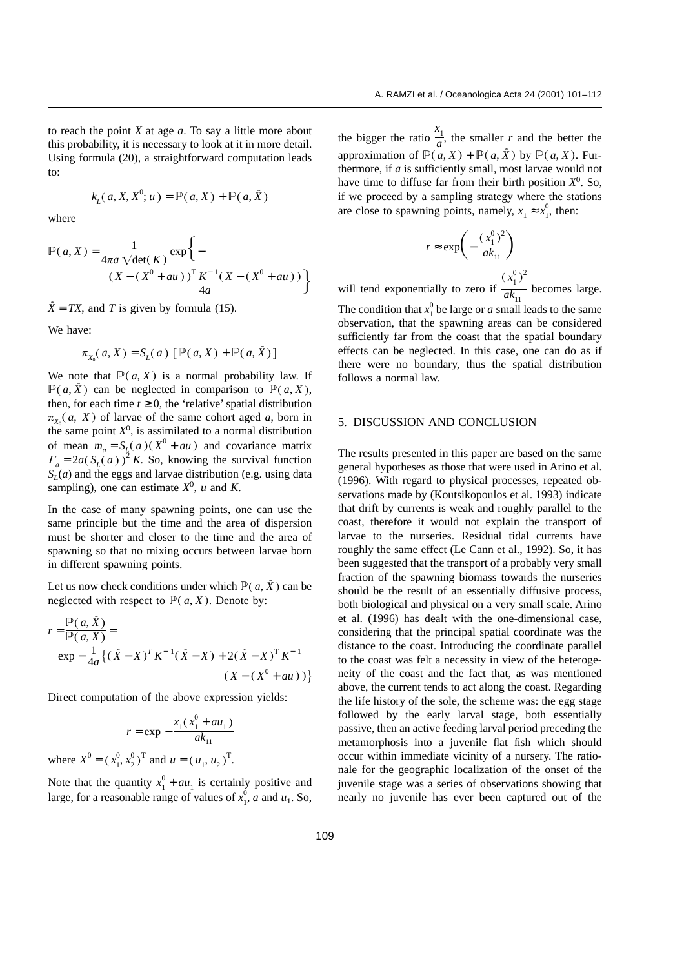to reach the point *X* at age *a*. To say a little more about this probability, it is necessary to look at it in more detail. Using formula (20), a straightforward computation leads to:

$$
k_L(a, X, X^0; u) = \mathbb{P}(a, X) + \mathbb{P}(a, \tilde{X})
$$

where

$$
\mathbb{P}(a, X) = \frac{1}{4\pi a \sqrt{\det(K)}} \exp \left\{-\frac{(X - (X^0 + au))^T K^{-1} (X - (X^0 + au))}{4a}\right\}
$$

 $\tilde{X} = TX$ , and *T* is given by formula (15).

We have:

$$
\pi_{X_0}(a, X) = S_L(a) [\mathbb{P}(a, X) + \mathbb{P}(a, \tilde{X})]
$$

We note that  $P(a, X)$  is a normal probability law. If  $\mathbb{P}(a, \tilde{X})$  can be neglected in comparison to  $\mathbb{P}(a, X)$ , then, for each time  $t \geq 0$ , the 'relative' spatial distribution  $\pi_{X_0}(a, X)$  of larvae of the same cohort aged *a*, born in the same point  $X^0$ , is assimilated to a normal distribution of mean  $m_a = S_{\underline{L}}(a)(X^0 + au)$  and covariance matrix  $\Gamma_a = 2a(S_L(a))^2 K$ . So, knowing the survival function  $S<sub>L</sub>(a)$  and the eggs and larvae distribution (e.g. using data sampling), one can estimate  $X^0$ , *u* and *K*.

In the case of many spawning points, one can use the same principle but the time and the area of dispersion must be shorter and closer to the time and the area of spawning so that no mixing occurs between larvae born in different spawning points.

Let us now check conditions under which  $P(a, \tilde{X})$  can be neglected with respect to  $P(a, X)$ . Denote by:

$$
r = \frac{\mathbb{P}(a, \tilde{X})}{\mathbb{P}(a, X)} =
$$
  
exp $-\frac{1}{4a}$ {( $\tilde{X} - X$ )<sup>T</sup> K<sup>-1</sup>( $\tilde{X} - X$ ) + 2( $\tilde{X} - X$ )<sup>T</sup> K<sup>-1</sup>  
( $X - (X^{0} + au)$ ))}

Direct computation of the above expression yields:

$$
r = \exp -\frac{x_1(x_1^0 + au_1)}{ak_{11}}
$$
  
where  $X^0 = (x_1^0, x_2^0)^T$  and  $u = (u_1, u_2)^T$ .

Note that the quantity  $x_1^0 + a u_1$  is certainly positive and large, for a reasonable range of values of  $x_1^0$ , *a* and *u*<sub>1</sub>. So,

the bigger the ratio  $\frac{x_1}{a}$  $\frac{a}{a}$ , the smaller *r* and the better the approximation of  $\mathbb{P}(a, X) + \mathbb{P}(a, \tilde{X})$  by  $\mathbb{P}(a, X)$ . Furthermore, if *a* is sufficiently small, most larvae would not have time to diffuse far from their birth position  $X^0$ . So, if we proceed by a sampling strategy where the stations are close to spawning points, namely,  $x_1 \approx x_1^0$ , then:

$$
r \approx \exp\left(-\frac{(x_1^0)^2}{ak_{11}}\right)
$$

will tend exponentially to zero if  $(x_1^0)^2$  $\frac{1}{ak_{11}}$  becomes large.

The condition that  $x_1^0$  be large or *a* small leads to the same observation, that the spawning areas can be considered sufficiently far from the coast that the spatial boundary effects can be neglected. In this case, one can do as if there were no boundary, thus the spatial distribution follows a normal law.

# 5. DISCUSSION AND CONCLUSION

The results presented in this paper are based on the same general hypotheses as those that were used in Arino et al. (1996). With regard to physical processes, repeated observations made by (Koutsikopoulos et al. 1993) indicate that drift by currents is weak and roughly parallel to the coast, therefore it would not explain the transport of larvae to the nurseries. Residual tidal currents have roughly the same effect (Le Cann et al., 1992). So, it has been suggested that the transport of a probably very small fraction of the spawning biomass towards the nurseries should be the result of an essentially diffusive process, both biological and physical on a very small scale. Arino et al. (1996) has dealt with the one-dimensional case, considering that the principal spatial coordinate was the distance to the coast. Introducing the coordinate parallel to the coast was felt a necessity in view of the heterogeneity of the coast and the fact that, as was mentioned above, the current tends to act along the coast. Regarding the life history of the sole, the scheme was: the egg stage followed by the early larval stage, both essentially passive, then an active feeding larval period preceding the metamorphosis into a juvenile flat fish which should occur within immediate vicinity of a nursery. The rationale for the geographic localization of the onset of the juvenile stage was a series of observations showing that nearly no juvenile has ever been captured out of the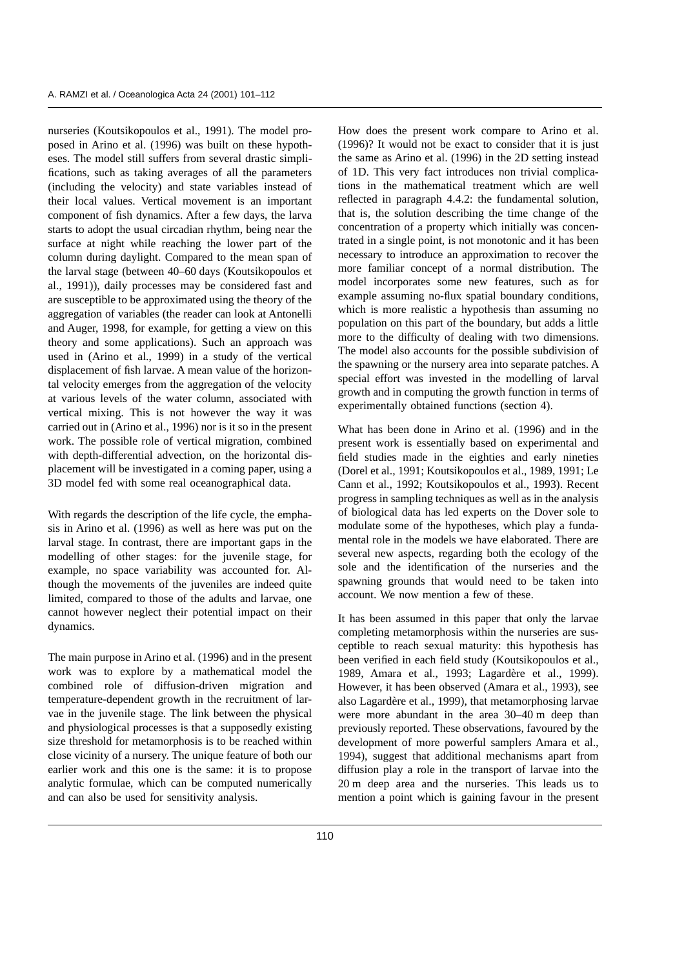nurseries (Koutsikopoulos et al., 1991). The model proposed in Arino et al. (1996) was built on these hypotheses. The model still suffers from several drastic simplifications, such as taking averages of all the parameters (including the velocity) and state variables instead of their local values. Vertical movement is an important component of fish dynamics. After a few days, the larva starts to adopt the usual circadian rhythm, being near the surface at night while reaching the lower part of the column during daylight. Compared to the mean span of the larval stage (between 40–60 days (Koutsikopoulos et al., 1991)), daily processes may be considered fast and are susceptible to be approximated using the theory of the aggregation of variables (the reader can look at Antonelli and Auger, 1998, for example, for getting a view on this theory and some applications). Such an approach was used in (Arino et al., 1999) in a study of the vertical displacement of fish larvae. A mean value of the horizontal velocity emerges from the aggregation of the velocity at various levels of the water column, associated with vertical mixing. This is not however the way it was carried out in (Arino et al., 1996) nor is it so in the present work. The possible role of vertical migration, combined with depth-differential advection, on the horizontal displacement will be investigated in a coming paper, using a 3D model fed with some real oceanographical data.

With regards the description of the life cycle, the emphasis in Arino et al. (1996) as well as here was put on the larval stage. In contrast, there are important gaps in the modelling of other stages: for the juvenile stage, for example, no space variability was accounted for. Although the movements of the juveniles are indeed quite limited, compared to those of the adults and larvae, one cannot however neglect their potential impact on their dynamics.

The main purpose in Arino et al. (1996) and in the present work was to explore by a mathematical model the combined role of diffusion-driven migration and temperature-dependent growth in the recruitment of larvae in the juvenile stage. The link between the physical and physiological processes is that a supposedly existing size threshold for metamorphosis is to be reached within close vicinity of a nursery. The unique feature of both our earlier work and this one is the same: it is to propose analytic formulae, which can be computed numerically and can also be used for sensitivity analysis.

How does the present work compare to Arino et al. (1996)? It would not be exact to consider that it is just the same as Arino et al. (1996) in the 2D setting instead of 1D. This very fact introduces non trivial complications in the mathematical treatment which are well reflected in paragraph 4.4.2: the fundamental solution, that is, the solution describing the time change of the concentration of a property which initially was concentrated in a single point, is not monotonic and it has been necessary to introduce an approximation to recover the more familiar concept of a normal distribution. The model incorporates some new features, such as for example assuming no-flux spatial boundary conditions, which is more realistic a hypothesis than assuming no population on this part of the boundary, but adds a little more to the difficulty of dealing with two dimensions. The model also accounts for the possible subdivision of the spawning or the nursery area into separate patches. A special effort was invested in the modelling of larval growth and in computing the growth function in terms of experimentally obtained functions (section 4).

What has been done in Arino et al. (1996) and in the present work is essentially based on experimental and field studies made in the eighties and early nineties (Dorel et al., 1991; Koutsikopoulos et al., 1989, 1991; Le Cann et al., 1992; Koutsikopoulos et al., 1993). Recent progress in sampling techniques as well as in the analysis of biological data has led experts on the Dover sole to modulate some of the hypotheses, which play a fundamental role in the models we have elaborated. There are several new aspects, regarding both the ecology of the sole and the identification of the nurseries and the spawning grounds that would need to be taken into account. We now mention a few of these.

It has been assumed in this paper that only the larvae completing metamorphosis within the nurseries are susceptible to reach sexual maturity: this hypothesis has been verified in each field study (Koutsikopoulos et al., 1989, Amara et al., 1993; Lagardère et al., 1999). However, it has been observed (Amara et al., 1993), see also Lagardère et al., 1999), that metamorphosing larvae were more abundant in the area 30–40 m deep than previously reported. These observations, favoured by the development of more powerful samplers Amara et al., 1994), suggest that additional mechanisms apart from diffusion play a role in the transport of larvae into the 20 m deep area and the nurseries. This leads us to mention a point which is gaining favour in the present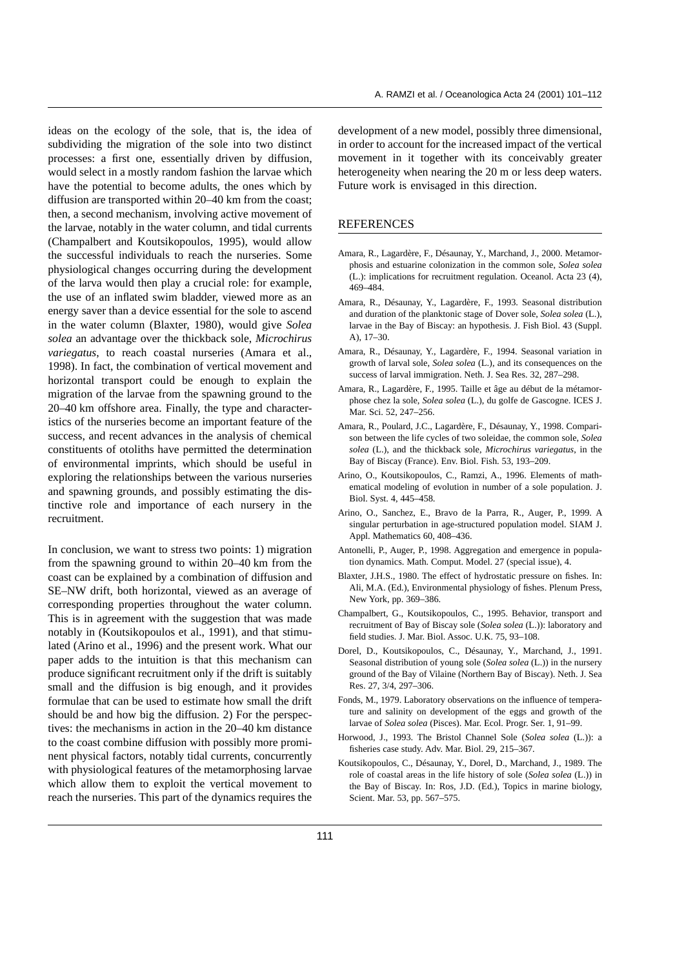ideas on the ecology of the sole, that is, the idea of subdividing the migration of the sole into two distinct processes: a first one, essentially driven by diffusion, would select in a mostly random fashion the larvae which have the potential to become adults, the ones which by diffusion are transported within 20–40 km from the coast; then, a second mechanism, involving active movement of the larvae, notably in the water column, and tidal currents (Champalbert and Koutsikopoulos, 1995), would allow the successful individuals to reach the nurseries. Some physiological changes occurring during the development of the larva would then play a crucial role: for example, the use of an inflated swim bladder, viewed more as an energy saver than a device essential for the sole to ascend in the water column (Blaxter, 1980), would give *Solea solea* an advantage over the thickback sole, *Microchirus variegatus*, to reach coastal nurseries (Amara et al., 1998). In fact, the combination of vertical movement and horizontal transport could be enough to explain the migration of the larvae from the spawning ground to the 20–40 km offshore area. Finally, the type and characteristics of the nurseries become an important feature of the success, and recent advances in the analysis of chemical constituents of otoliths have permitted the determination of environmental imprints, which should be useful in exploring the relationships between the various nurseries and spawning grounds, and possibly estimating the distinctive role and importance of each nursery in the recruitment.

In conclusion, we want to stress two points: 1) migration from the spawning ground to within 20–40 km from the coast can be explained by a combination of diffusion and SE–NW drift, both horizontal, viewed as an average of corresponding properties throughout the water column. This is in agreement with the suggestion that was made notably in (Koutsikopoulos et al., 1991), and that stimulated (Arino et al., 1996) and the present work. What our paper adds to the intuition is that this mechanism can produce significant recruitment only if the drift is suitably small and the diffusion is big enough, and it provides formulae that can be used to estimate how small the drift should be and how big the diffusion. 2) For the perspectives: the mechanisms in action in the 20–40 km distance to the coast combine diffusion with possibly more prominent physical factors, notably tidal currents, concurrently with physiological features of the metamorphosing larvae which allow them to exploit the vertical movement to reach the nurseries. This part of the dynamics requires the development of a new model, possibly three dimensional, in order to account for the increased impact of the vertical movement in it together with its conceivably greater heterogeneity when nearing the 20 m or less deep waters. Future work is envisaged in this direction.

# **REFERENCES**

- Amara, R., Lagardère, F., Désaunay, Y., Marchand, J., 2000. Metamorphosis and estuarine colonization in the common sole, *Solea solea* (L.): implications for recruitment regulation. Oceanol. Acta 23 (4), 469–484.
- Amara, R., Désaunay, Y., Lagardère, F., 1993. Seasonal distribution and duration of the planktonic stage of Dover sole, *Solea solea* (L.), larvae in the Bay of Biscay: an hypothesis. J. Fish Biol. 43 (Suppl. A), 17–30.
- Amara, R., Désaunay, Y., Lagardère, F., 1994. Seasonal variation in growth of larval sole, *Solea solea* (L.), and its consequences on the success of larval immigration. Neth. J. Sea Res. 32, 287–298.
- Amara, R., Lagardère, F., 1995. Taille et âge au début de la métamorphose chez la sole, *Solea solea* (L.), du golfe de Gascogne. ICES J. Mar. Sci. 52, 247–256.
- Amara, R., Poulard, J.C., Lagardère, F., Désaunay, Y., 1998. Comparison between the life cycles of two soleidae, the common sole, *Solea solea* (L.), and the thickback sole, *Microchirus variegatus*, in the Bay of Biscay (France). Env. Biol. Fish. 53, 193–209.
- Arino, O., Koutsikopoulos, C., Ramzi, A., 1996. Elements of mathematical modeling of evolution in number of a sole population. J. Biol. Syst. 4, 445–458.
- Arino, O., Sanchez, E., Bravo de la Parra, R., Auger, P., 1999. A singular perturbation in age-structured population model. SIAM J. Appl. Mathematics 60, 408–436.
- Antonelli, P., Auger, P., 1998. Aggregation and emergence in population dynamics. Math. Comput. Model. 27 (special issue), 4.
- Blaxter, J.H.S., 1980. The effect of hydrostatic pressure on fishes. In: Ali, M.A. (Ed.), Environmental physiology of fishes. Plenum Press, New York, pp. 369–386.
- Champalbert, G., Koutsikopoulos, C., 1995. Behavior, transport and recruitment of Bay of Biscay sole (*Solea solea* (L.)): laboratory and field studies. J. Mar. Biol. Assoc. U.K. 75, 93–108.
- Dorel, D., Koutsikopoulos, C., Désaunay, Y., Marchand, J., 1991. Seasonal distribution of young sole (*Solea solea* (L.)) in the nursery ground of the Bay of Vilaine (Northern Bay of Biscay). Neth. J. Sea Res. 27, 3/4, 297–306.
- Fonds, M., 1979. Laboratory observations on the influence of temperature and salinity on development of the eggs and growth of the larvae of *Solea solea* (Pisces). Mar. Ecol. Progr. Ser. 1, 91–99.
- Horwood, J., 1993. The Bristol Channel Sole (*Solea solea* (L.)): a fisheries case study. Adv. Mar. Biol. 29, 215–367.
- Koutsikopoulos, C., Désaunay, Y., Dorel, D., Marchand, J., 1989. The role of coastal areas in the life history of sole (*Solea solea* (L.)) in the Bay of Biscay. In: Ros, J.D. (Ed.), Topics in marine biology, Scient. Mar. 53, pp. 567–575.